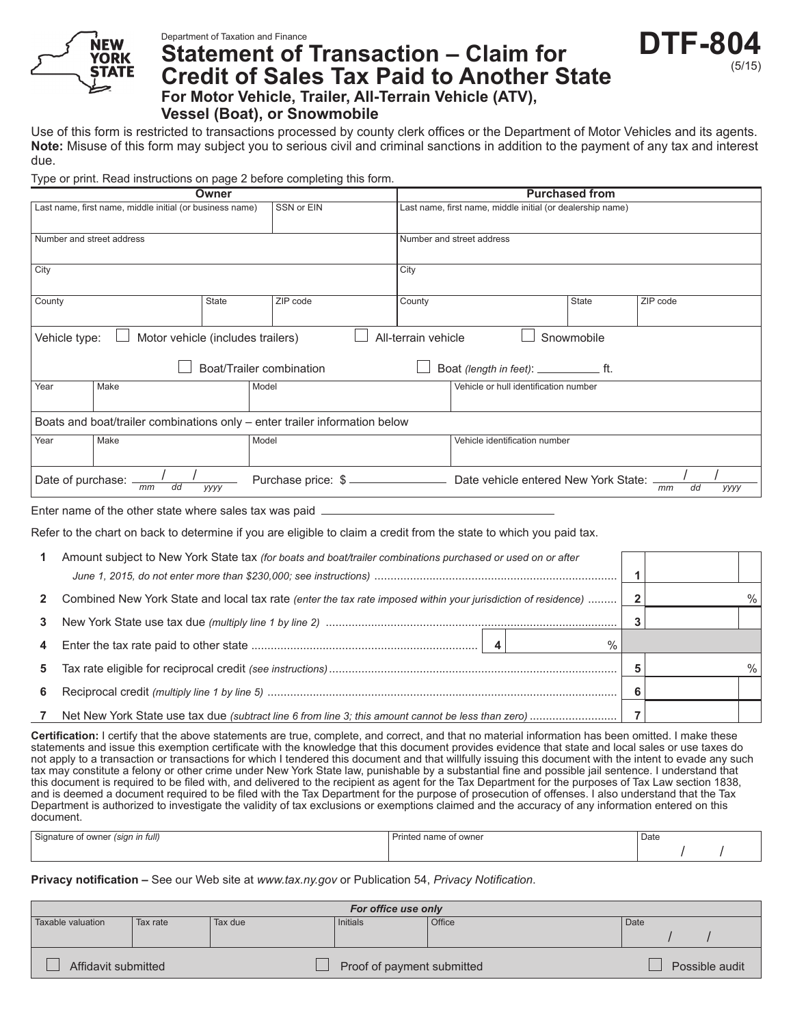

## Department of Taxation and Finance **Statement of Transaction – Claim for Credit of Sales Tax Paid to Another State For Motor Vehicle, Trailer, All‑Terrain Vehicle (ATV),**

**Vessel (Boat), or Snowmobile**

Use of this form is restricted to transactions processed by county clerk offices or the Department of Motor Vehicles and its agents. **Note:** Misuse of this form may subject you to serious civil and criminal sanctions in addition to the payment of any tax and interest due.

DTF-8

(5/15)

Type or print. Read instructions on page 2 before completing this form.

| Owner                                                                                   |      |              |          | <b>Purchased from</b>     |                                                            |                                      |                  |  |
|-----------------------------------------------------------------------------------------|------|--------------|----------|---------------------------|------------------------------------------------------------|--------------------------------------|------------------|--|
| SSN or EIN<br>Last name, first name, middle initial (or business name)                  |      |              |          |                           | Last name, first name, middle initial (or dealership name) |                                      |                  |  |
| Number and street address                                                               |      |              |          | Number and street address |                                                            |                                      |                  |  |
| City                                                                                    |      |              |          | City                      |                                                            |                                      |                  |  |
| County                                                                                  |      | <b>State</b> | ZIP code | County                    |                                                            | State                                | ZIP code         |  |
| All-terrain vehicle<br>Snowmobile<br>Vehicle type:<br>Motor vehicle (includes trailers) |      |              |          |                           |                                                            |                                      |                  |  |
| Boat/Trailer combination                                                                |      |              |          |                           |                                                            |                                      |                  |  |
| Year                                                                                    | Make | Model        |          |                           | Vehicle or hull identification number                      |                                      |                  |  |
| Boats and boat/trailer combinations only - enter trailer information below              |      |              |          |                           |                                                            |                                      |                  |  |
| Year                                                                                    | Make | Model        |          |                           | Vehicle identification number                              |                                      |                  |  |
| Date of purchase:<br>Purchase price: \$<br>dd<br>mm<br>уууу                             |      |              |          |                           |                                                            | Date vehicle entered New York State: | dd<br>mm<br>уууу |  |

Enter name of the other state where sales tax was paid

Refer to the chart on back to determine if you are eligible to claim a credit from the state to which you paid tax.

|             | Amount subject to New York State tax (for boats and boat/trailer combinations purchased or used on or after   |  |      |
|-------------|---------------------------------------------------------------------------------------------------------------|--|------|
|             |                                                                                                               |  |      |
| $2^{\circ}$ | Combined New York State and local tax rate (enter the tax rate imposed within your jurisdiction of residence) |  | $\%$ |
| 3           |                                                                                                               |  |      |
| 4           |                                                                                                               |  |      |
| 5.          |                                                                                                               |  |      |
| 6           |                                                                                                               |  |      |
|             |                                                                                                               |  |      |

**Certification:** I certify that the above statements are true, complete, and correct, and that no material information has been omitted. I make these statements and issue this exemption certificate with the knowledge that this document provides evidence that state and local sales or use taxes do not apply to a transaction or transactions for which I tendered this document and that willfully issuing this document with the intent to evade any such tax may constitute a felony or other crime under New York State law, punishable by a substantial fine and possible jail sentence. I understand that this document is required to be filed with, and delivered to the recipient as agent for the Tax Department for the purposes of Tax Law section 1838, and is deemed a document required to be filed with the Tax Department for the purpose of prosecution of offenses. I also understand that the Tax Department is authorized to investigate the validity of tax exclusions or exemptions claimed and the accuracy of any information entered on this document.

| Signature of owner (sign in full) | Printed name of owner | Date |  |
|-----------------------------------|-----------------------|------|--|
|                                   |                       |      |  |

**Privacy notification –** See our Web site at *www.tax.ny.gov* or Publication 54, *Privacy Notification*.

| For office use only |          |         |                            |        |      |                |  |
|---------------------|----------|---------|----------------------------|--------|------|----------------|--|
| Taxable valuation   | Tax rate | Tax due | Initials                   | Office | Date |                |  |
|                     |          |         |                            |        |      |                |  |
| Affidavit submitted |          |         | Proof of payment submitted |        |      | Possible audit |  |